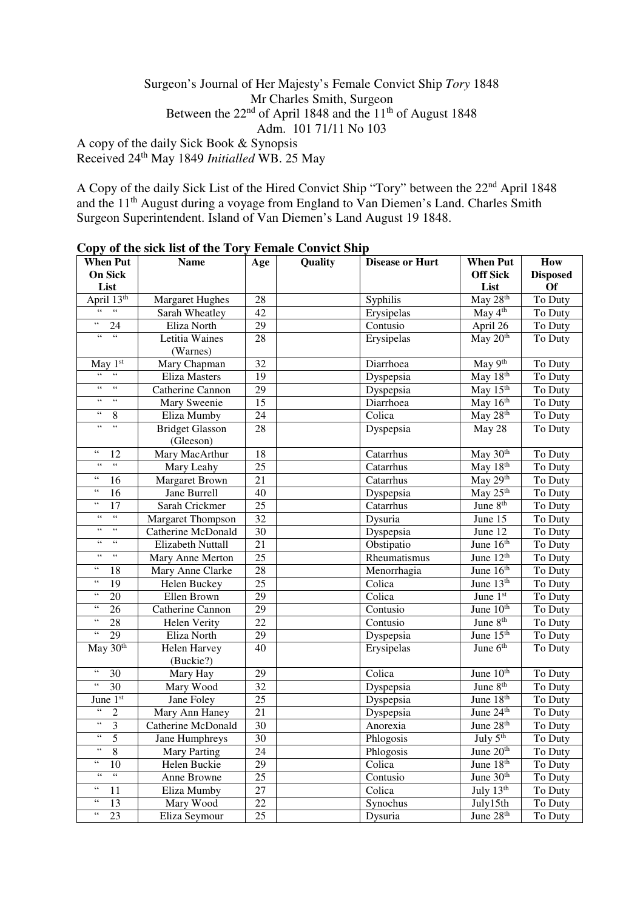## Surgeon's Journal of Her Majesty's Female Convict Ship *Tory* 1848 Mr Charles Smith, Surgeon Between the  $22<sup>nd</sup>$  of April 1848 and the  $11<sup>th</sup>$  of August 1848 Adm. 101 71/11 No 103

A copy of the daily Sick Book & Synopsis Received 24th May 1849 *Initialled* WB. 25 May

A Copy of the daily Sick List of the Hired Convict Ship "Tory" between the 22nd April 1848 and the 11<sup>th</sup> August during a voyage from England to Van Diemen's Land. Charles Smith Surgeon Superintendent. Island of Van Diemen's Land August 19 1848.

| <b>When Put</b>                                              | $\mathbf{Cov}_{\mathbf{P},\mathbf{y}}$ of the sign first of the $\mathbf{Cov}_{\mathbf{y}}$<br><b>Name</b> | Age    | I chance Contract only<br><b>Quality</b> | <b>Disease or Hurt</b> | <b>When Put</b>       | How             |
|--------------------------------------------------------------|------------------------------------------------------------------------------------------------------------|--------|------------------------------------------|------------------------|-----------------------|-----------------|
| On Sick                                                      |                                                                                                            |        |                                          |                        | <b>Off Sick</b>       | <b>Disposed</b> |
| List                                                         |                                                                                                            |        |                                          |                        | List                  | <b>Of</b>       |
| April 13th                                                   | <b>Margaret Hughes</b>                                                                                     | 28     |                                          | Syphilis               | May 28 <sup>th</sup>  | To Duty         |
|                                                              | Sarah Wheatley                                                                                             | 42     |                                          | Erysipelas             | May $4th$             | To Duty         |
| $\epsilon$ $\epsilon$<br>24                                  | Eliza North                                                                                                | 29     |                                          | Contusio               | April 26              | To Duty         |
| $\zeta\,\zeta$<br>$\zeta\,\zeta$                             | Letitia Waines                                                                                             | 28     |                                          | Erysipelas             | May 20 <sup>th</sup>  | To Duty         |
|                                                              | (Warnes)                                                                                                   |        |                                          |                        |                       |                 |
| May 1st                                                      | Mary Chapman                                                                                               | 32     |                                          | Diarrhoea              | May 9th               | To Duty         |
| $\overline{\mathcal{C}}$                                     | Eliza Masters                                                                                              | 19     |                                          | Dyspepsia              | May 18th              | To Duty         |
| $\boldsymbol{\zeta} \, \boldsymbol{\zeta}$<br>$\zeta\,\zeta$ | Catherine Cannon                                                                                           | 29     |                                          | Dyspepsia              | May 15 <sup>th</sup>  | To Duty         |
| $\zeta\,\zeta$<br>$\zeta$ $\zeta$                            | Mary Sweenie                                                                                               | 15     |                                          | Diarrhoea              | May 16th              | To Duty         |
| $\zeta\,\zeta$<br>8                                          | Eliza Mumby                                                                                                | 24     |                                          | Colica                 | May 28th              | To Duty         |
| $\zeta$ $\zeta$<br>$\zeta$ $\zeta$                           | <b>Bridget Glasson</b>                                                                                     | 28     |                                          | Dyspepsia              | May 28                | To Duty         |
|                                                              | (Gleeson)                                                                                                  |        |                                          |                        |                       |                 |
| $\zeta$ $\zeta$<br>12                                        | Mary MacArthur                                                                                             | 18     |                                          | Catarrhus              | May 30 <sup>th</sup>  | To Duty         |
| $\zeta$ $\zeta$<br>$\zeta$ $\zeta$                           | Mary Leahy                                                                                                 | 25     |                                          | Catarrhus              | May 18th              | To Duty         |
| $\zeta$ $\zeta$<br>16                                        | <b>Margaret Brown</b>                                                                                      | 21     |                                          | Catarrhus              | May 29th              | To Duty         |
| $\zeta$ $\zeta$<br>16                                        | Jane Burrell                                                                                               | 40     |                                          | Dyspepsia              | May 25 <sup>th</sup>  | To Duty         |
| $\zeta$ $\zeta$<br>17                                        | Sarah Crickmer                                                                                             | 25     |                                          | Catarrhus              | June 8 <sup>th</sup>  | To Duty         |
| $\zeta\,\zeta$<br>$\zeta\,\zeta$                             | <b>Margaret Thompson</b>                                                                                   | 32     |                                          | Dysuria                | June 15               | To Duty         |
| $\zeta\,\zeta$<br>$\zeta\,\zeta$                             | Catherine McDonald                                                                                         | 30     |                                          | Dyspepsia              | June 12               | To Duty         |
| $\zeta\,\zeta$<br>$\zeta$ $\zeta$                            | <b>Elizabeth Nuttall</b>                                                                                   | 21     |                                          | Obstipatio             | June $16th$           | To Duty         |
| $\zeta\,\zeta$<br>$\zeta$ $\zeta$                            | Mary Anne Merton                                                                                           | 25     |                                          | Rheumatismus           | June $12th$           | To Duty         |
| 66<br>18                                                     | Mary Anne Clarke                                                                                           | 28     |                                          | Menorrhagia            | June $16th$           | To Duty         |
| $\zeta$ $\zeta$<br>19                                        | Helen Buckey                                                                                               | 25     |                                          | Colica                 | June $13th$           | To Duty         |
| $\zeta$ $\zeta$<br>$20\,$                                    | Ellen Brown                                                                                                | 29     |                                          | Colica                 | June $1st$            | To Duty         |
| $\zeta$ $\zeta$<br>26                                        | Catherine Cannon                                                                                           | 29     |                                          | Contusio               | June $10th$           | To Duty         |
| $\zeta$ $\zeta$<br>$28\,$                                    | Helen Verity                                                                                               | 22     |                                          | Contusio               | June 8 <sup>th</sup>  | To Duty         |
| $\zeta$ $\zeta$<br>29                                        | Eliza North                                                                                                | 29     |                                          | Dyspepsia              | June 15 <sup>th</sup> | To Duty         |
| May $30th$                                                   | Helen Harvey                                                                                               | 40     |                                          | Erysipelas             | June 6 <sup>th</sup>  | To Duty         |
|                                                              | (Buckie?)                                                                                                  |        |                                          |                        |                       |                 |
| $\zeta$ $\zeta$<br>30                                        | Mary Hay                                                                                                   | 29     |                                          | Colica                 | June 10 <sup>th</sup> | To Duty         |
| $\zeta$ $\zeta$<br>$\overline{30}$                           | Mary Wood                                                                                                  | 32     |                                          | Dyspepsia              | June $8th$            | To Duty         |
| June 1st                                                     | Jane Foley                                                                                                 | 25     |                                          | Dyspepsia              | June 18th             | To Duty         |
| $\zeta\,\zeta$<br>$\overline{c}$                             | Mary Ann Haney                                                                                             | 21     |                                          | Dyspepsia              | June 24th             | To Duty         |
| $\zeta$ $\zeta$<br>$\overline{\mathbf{3}}$                   | Catherine McDonald                                                                                         | 30     |                                          | Anorexia               | June 28th             | To Duty         |
| 5                                                            | Jane Humphreys                                                                                             | 30     |                                          | Phlogosis              | July $5th$            | To Duty         |
| $\zeta\,\zeta$<br>8                                          | <b>Mary Parting</b>                                                                                        | 24     |                                          | Phlogosis              | June 20 <sup>th</sup> | To Duty         |
| $\zeta$ $\zeta$<br>10                                        | Helen Buckie                                                                                               | 29     |                                          | Colica                 | June 18th             | To Duty         |
| $\zeta$ $\zeta$<br>$\zeta\,\zeta$                            | Anne Browne                                                                                                | 25     |                                          | Contusio               | June 30 <sup>th</sup> | To Duty         |
| 44<br>11                                                     | Eliza Mumby                                                                                                | 27     |                                          | Colica                 | July $13th$           | To Duty         |
| $\zeta$ $\zeta$<br>13                                        | Mary Wood                                                                                                  | $22\,$ |                                          | Synochus               | July15th              | To Duty         |
| $\zeta$ $\zeta$<br>23                                        | Eliza Seymour                                                                                              | 25     |                                          | Dysuria                | June 28 <sup>th</sup> | To Duty         |

**Copy of the sick list of the Tory Female Convict Ship**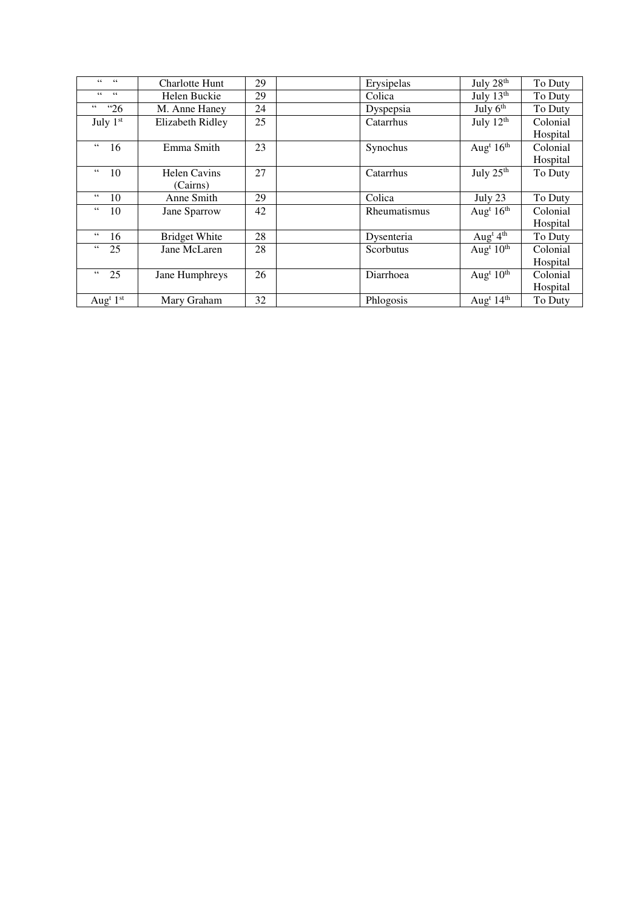| $66 - 66$                         | <b>Charlotte Hunt</b>   | 29 | Erysipelas   | July 28th                         | To Duty  |
|-----------------------------------|-------------------------|----|--------------|-----------------------------------|----------|
| $66$ $66$                         | Helen Buckie            | 29 | Colica       | July 13th                         | To Duty  |
| 66<br><sup>"26</sup>              | M. Anne Haney           | 24 | Dyspepsia    | July $6th$                        | To Duty  |
| July 1st                          | <b>Elizabeth Ridley</b> | 25 | Catarrhus    | July $12th$                       | Colonial |
|                                   |                         |    |              |                                   | Hospital |
| 66<br>16                          | Emma Smith              | 23 | Synochus     | Aug <sup>t</sup> $16th$           | Colonial |
|                                   |                         |    |              |                                   | Hospital |
| $\,66$<br>10                      | <b>Helen Cavins</b>     | 27 | Catarrhus    | July 25th                         | To Duty  |
|                                   | (Cairns)                |    |              |                                   |          |
| $66\,$<br>10                      | Anne Smith              | 29 | Colica       | July 23                           | To Duty  |
| $66\,$<br>10                      | Jane Sparrow            | 42 | Rheumatismus | Aug <sup>t</sup> $16th$           | Colonial |
|                                   |                         |    |              |                                   | Hospital |
| $66\,$<br>16                      | <b>Bridget White</b>    | 28 | Dysenteria   | Aug <sup>t</sup> $4th$            | To Duty  |
| $\epsilon$ $\epsilon$<br>25       | Jane McLaren            | 28 | Scorbutus    | Aug <sup>t</sup> $10^{\text{th}}$ | Colonial |
|                                   |                         |    |              |                                   | Hospital |
| $\epsilon$ $\epsilon$<br>25       | Jane Humphreys          | 26 | Diarrhoea    | Aug <sup>t</sup> $10th$           | Colonial |
|                                   |                         |    |              |                                   | Hospital |
| Aug <sup>t <math>1st</math></sup> | Mary Graham             | 32 | Phlogosis    | Aug <sup>t</sup> $14th$           | To Duty  |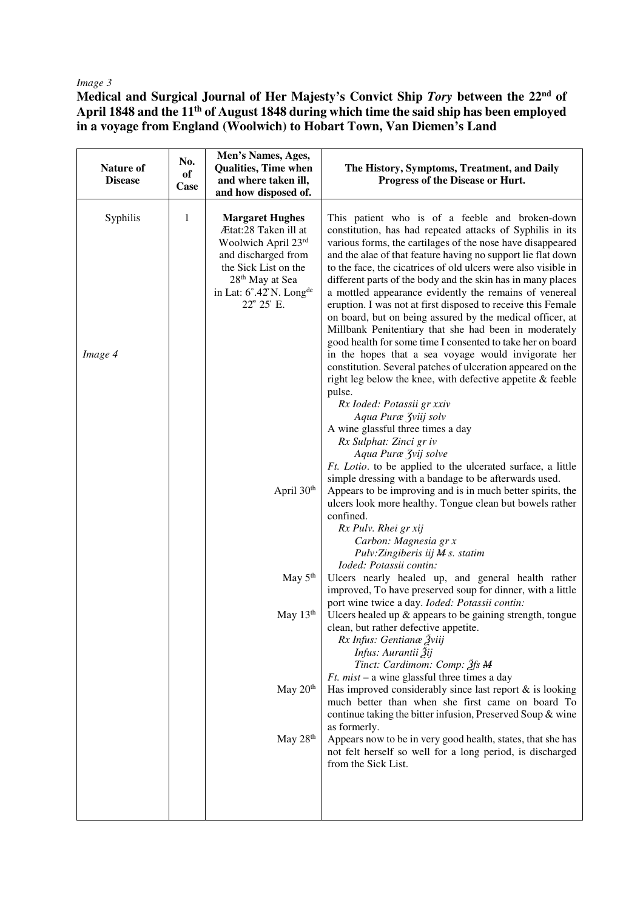## *Image 3*

**Medical and Surgical Journal of Her Majesty's Convict Ship** *Tory* **between the 22nd of April 1848 and the 11th of August 1848 during which time the said ship has been employed in a voyage from England (Woolwich) to Hobart Town, Van Diemen's Land** 

| Nature of<br><b>Disease</b> | No.<br>of<br><b>Case</b> | Men's Names, Ages,<br><b>Qualities, Time when</b><br>and where taken ill,<br>and how disposed of.                                                                                                        | The History, Symptoms, Treatment, and Daily<br>Progress of the Disease or Hurt.                                                                                                                                                                                                                                                                                                                                                                                                                                                                                                                                                                                                                                                                                                                                                                                                                                                                                                                                                              |
|-----------------------------|--------------------------|----------------------------------------------------------------------------------------------------------------------------------------------------------------------------------------------------------|----------------------------------------------------------------------------------------------------------------------------------------------------------------------------------------------------------------------------------------------------------------------------------------------------------------------------------------------------------------------------------------------------------------------------------------------------------------------------------------------------------------------------------------------------------------------------------------------------------------------------------------------------------------------------------------------------------------------------------------------------------------------------------------------------------------------------------------------------------------------------------------------------------------------------------------------------------------------------------------------------------------------------------------------|
| Syphilis<br>Image 4         | $\mathbf{1}$             | <b>Margaret Hughes</b><br>Ætat:28 Taken ill at<br>Woolwich April 23rd<br>and discharged from<br>the Sick List on the<br>28 <sup>th</sup> May at Sea<br>in Lat: 6°.42'N. Long <sup>de</sup><br>22° 25' E. | This patient who is of a feeble and broken-down<br>constitution, has had repeated attacks of Syphilis in its<br>various forms, the cartilages of the nose have disappeared<br>and the alae of that feature having no support lie flat down<br>to the face, the cicatrices of old ulcers were also visible in<br>different parts of the body and the skin has in many places<br>a mottled appearance evidently the remains of venereal<br>eruption. I was not at first disposed to receive this Female<br>on board, but on being assured by the medical officer, at<br>Millbank Penitentiary that she had been in moderately<br>good health for some time I consented to take her on board<br>in the hopes that a sea voyage would invigorate her<br>constitution. Several patches of ulceration appeared on the<br>right leg below the knee, with defective appetite & feeble<br>pulse.<br>Rx Ioded: Potassii gr xxiv<br>Aqua Puræ Zviij solv<br>A wine glassful three times a day<br>Rx Sulphat: Zinci gr iv<br>Aqua Puræ <i>Zvij solve</i> |
|                             |                          | April 30th                                                                                                                                                                                               | Ft. Lotio. to be applied to the ulcerated surface, a little<br>simple dressing with a bandage to be afterwards used.<br>Appears to be improving and is in much better spirits, the<br>ulcers look more healthy. Tongue clean but bowels rather<br>confined.<br>Rx Pulv. Rhei gr xij<br>Carbon: Magnesia gr x<br>Pulv:Zingiberis iij M s. statim<br>Ioded: Potassii contin:                                                                                                                                                                                                                                                                                                                                                                                                                                                                                                                                                                                                                                                                   |
|                             |                          | May $5th$                                                                                                                                                                                                | Ulcers nearly healed up, and general health rather<br>improved, To have preserved soup for dinner, with a little<br>port wine twice a day. Ioded: Potassii contin:                                                                                                                                                                                                                                                                                                                                                                                                                                                                                                                                                                                                                                                                                                                                                                                                                                                                           |
|                             |                          | May $13th$                                                                                                                                                                                               | Ulcers healed up $\&$ appears to be gaining strength, tongue<br>clean, but rather defective appetite.<br>Rx Infus: Gentianæ Žviij<br>Infus: Aurantii Žij<br>Tinct: Cardimom: Comp: 2fs M                                                                                                                                                                                                                                                                                                                                                                                                                                                                                                                                                                                                                                                                                                                                                                                                                                                     |
|                             |                          | May 20 <sup>th</sup>                                                                                                                                                                                     | <i>Ft. mist</i> – a wine glassful three times a day<br>Has improved considerably since last report $\&$ is looking<br>much better than when she first came on board To<br>continue taking the bitter infusion, Preserved Soup & wine<br>as formerly.                                                                                                                                                                                                                                                                                                                                                                                                                                                                                                                                                                                                                                                                                                                                                                                         |
|                             |                          | May 28th                                                                                                                                                                                                 | Appears now to be in very good health, states, that she has<br>not felt herself so well for a long period, is discharged<br>from the Sick List.                                                                                                                                                                                                                                                                                                                                                                                                                                                                                                                                                                                                                                                                                                                                                                                                                                                                                              |
|                             |                          |                                                                                                                                                                                                          |                                                                                                                                                                                                                                                                                                                                                                                                                                                                                                                                                                                                                                                                                                                                                                                                                                                                                                                                                                                                                                              |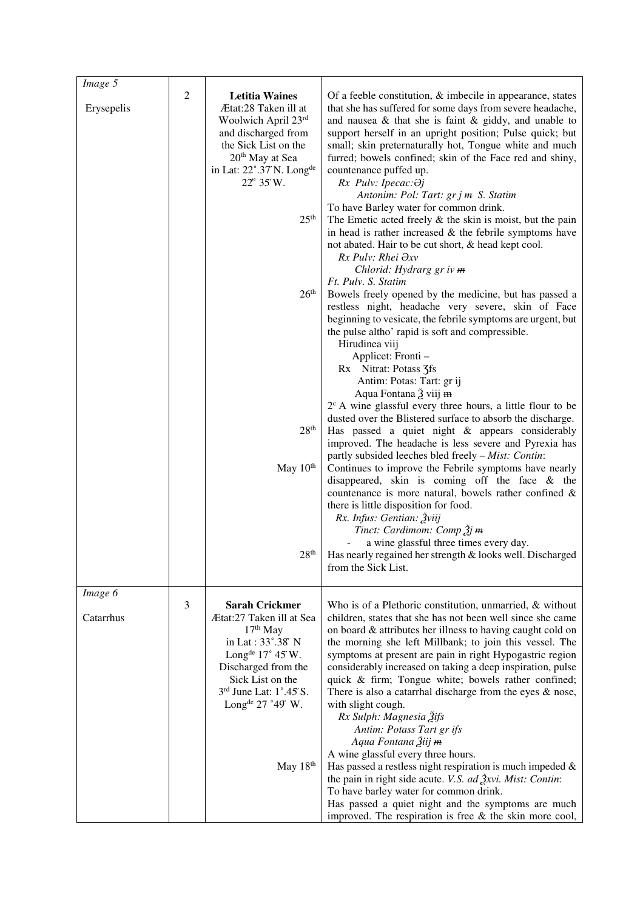| $Image\overline{5}$ |                  |                                       |                                                                                                                           |
|---------------------|------------------|---------------------------------------|---------------------------------------------------------------------------------------------------------------------------|
|                     | $\boldsymbol{2}$ | <b>Letitia Waines</b>                 | Of a feeble constitution, $\&$ imbecile in appearance, states                                                             |
| Erysepelis          |                  | Ætat:28 Taken ill at                  | that she has suffered for some days from severe headache,                                                                 |
|                     |                  | Woolwich April 23rd                   | and nausea $\&$ that she is faint $\&$ giddy, and unable to                                                               |
|                     |                  | and discharged from                   | support herself in an upright position; Pulse quick; but                                                                  |
|                     |                  | the Sick List on the                  | small; skin preternaturally hot, Tongue white and much                                                                    |
|                     |                  | 20 <sup>th</sup> May at Sea           | furred; bowels confined; skin of the Face red and shiny,                                                                  |
|                     |                  | in Lat: 22°.37'N. Long <sup>de</sup>  | countenance puffed up.                                                                                                    |
|                     |                  | 22° 35'W.                             | Rx Pulv: Ipecac: Əj                                                                                                       |
|                     |                  |                                       | Antonim: Pol: Tart: gr j m S. Statim                                                                                      |
|                     |                  |                                       | To have Barley water for common drink.                                                                                    |
|                     |                  | 25 <sup>th</sup>                      | The Emetic acted freely $\&$ the skin is moist, but the pain                                                              |
|                     |                  |                                       | in head is rather increased $\&$ the febrile symptoms have                                                                |
|                     |                  |                                       | not abated. Hair to be cut short, & head kept cool.<br>Rx Pulv: Rhei $\partial xv$                                        |
|                     |                  |                                       | Chlorid: Hydrarg gr iv m                                                                                                  |
|                     |                  |                                       | Ft. Pulv. S. Statim                                                                                                       |
|                     |                  | 26 <sup>th</sup>                      | Bowels freely opened by the medicine, but has passed a                                                                    |
|                     |                  |                                       | restless night, headache very severe, skin of Face                                                                        |
|                     |                  |                                       | beginning to vesicate, the febrile symptoms are urgent, but                                                               |
|                     |                  |                                       | the pulse altho' rapid is soft and compressible.                                                                          |
|                     |                  |                                       | Hirudinea viij                                                                                                            |
|                     |                  |                                       | Applicet: Fronti -                                                                                                        |
|                     |                  |                                       | Rx Nitrat: Potass 3fs                                                                                                     |
|                     |                  |                                       | Antim: Potas: Tart: gr ij                                                                                                 |
|                     |                  |                                       | Aqua Fontana 2 viij <del>m</del>                                                                                          |
|                     |                  |                                       | $2^c$ A wine glassful every three hours, a little flour to be                                                             |
|                     |                  | 28 <sup>th</sup>                      | dusted over the Blistered surface to absorb the discharge.                                                                |
|                     |                  |                                       | Has passed a quiet night & appears considerably<br>improved. The headache is less severe and Pyrexia has                  |
|                     |                  |                                       | partly subsided leeches bled freely - Mist: Contin:                                                                       |
|                     |                  | May 10 <sup>th</sup>                  | Continues to improve the Febrile symptoms have nearly                                                                     |
|                     |                  |                                       | disappeared, skin is coming off the face & the                                                                            |
|                     |                  |                                       | countenance is more natural, bowels rather confined &                                                                     |
|                     |                  |                                       | there is little disposition for food.                                                                                     |
|                     |                  |                                       | Rx. Infus: Gentian: Žviij                                                                                                 |
|                     |                  |                                       | Tinct: Cardimom: Comp $\tilde{A}$ j <del>m</del>                                                                          |
|                     |                  |                                       | a wine glassful three times every day.                                                                                    |
|                     |                  | 28 <sup>th</sup>                      | Has nearly regained her strength & looks well. Discharged                                                                 |
|                     |                  |                                       | from the Sick List.                                                                                                       |
|                     |                  |                                       |                                                                                                                           |
| Image 6             | $\mathfrak{Z}$   | <b>Sarah Crickmer</b>                 | Who is of a Plethoric constitution, unmarried, & without                                                                  |
| Catarrhus           |                  | Ætat:27 Taken ill at Sea              | children, states that she has not been well since she came                                                                |
|                     |                  | $17th$ May                            | on board & attributes her illness to having caught cold on                                                                |
|                     |                  | in Lat: 33°.38′ N                     | the morning she left Millbank; to join this vessel. The                                                                   |
|                     |                  | Long <sup>de</sup> $17^{\circ}$ 45'W. | symptoms at present are pain in right Hypogastric region                                                                  |
|                     |                  | Discharged from the                   | considerably increased on taking a deep inspiration, pulse                                                                |
|                     |                  | Sick List on the                      | quick & firm; Tongue white; bowels rather confined;                                                                       |
|                     |                  | 3rd June Lat: 1°.45'S.                | There is also a catarrhal discharge from the eyes $\&$ nose,                                                              |
|                     |                  | Long <sup>de</sup> $27$ °49′ W.       | with slight cough.                                                                                                        |
|                     |                  |                                       | Rx Sulph: Magnesia Žifs                                                                                                   |
|                     |                  |                                       | Antim: Potass Tart gr ifs                                                                                                 |
|                     |                  |                                       | Aqua Fontana Žiij <del>m</del>                                                                                            |
|                     |                  |                                       | A wine glassful every three hours.                                                                                        |
|                     |                  | May 18th                              | Has passed a restless night respiration is much impeded $\&$<br>the pain in right side acute. V.S. ad Žxvi. Mist: Contin: |
|                     |                  |                                       | To have barley water for common drink.                                                                                    |
|                     |                  |                                       | Has passed a quiet night and the symptoms are much                                                                        |
|                     |                  |                                       | improved. The respiration is free $&$ the skin more cool,                                                                 |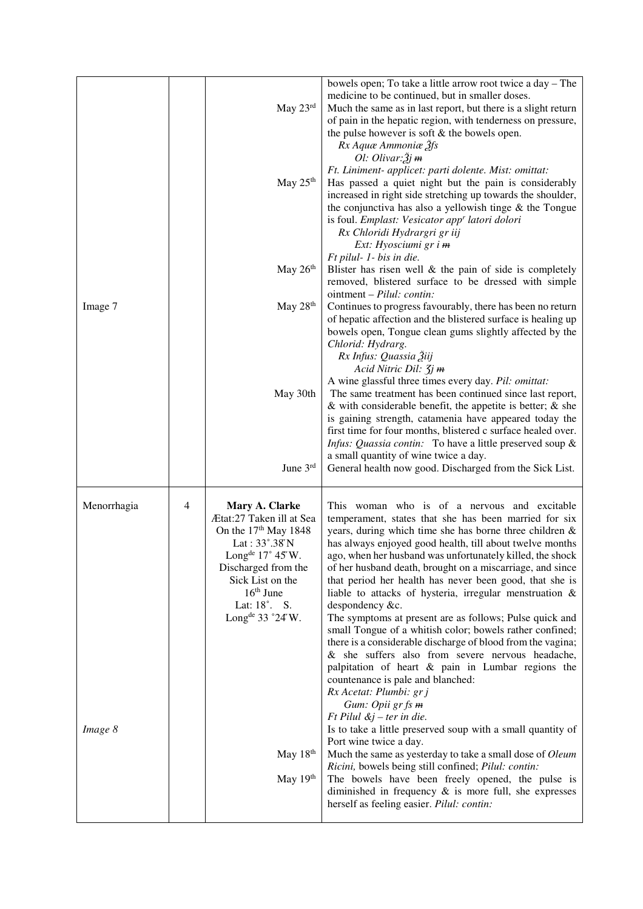|             |   | May 23rd                                                                                                                                                                                                                                  | bowels open; To take a little arrow root twice a day – The<br>medicine to be continued, but in smaller doses.<br>Much the same as in last report, but there is a slight return<br>of pain in the hepatic region, with tenderness on pressure,<br>the pulse however is soft $&$ the bowels open.<br>Rx Aquæ Ammoniæ 2fs                                                                                                                                                                                                                                                                                                                                                                                                                                                                                                                                                                                                |
|-------------|---|-------------------------------------------------------------------------------------------------------------------------------------------------------------------------------------------------------------------------------------------|-----------------------------------------------------------------------------------------------------------------------------------------------------------------------------------------------------------------------------------------------------------------------------------------------------------------------------------------------------------------------------------------------------------------------------------------------------------------------------------------------------------------------------------------------------------------------------------------------------------------------------------------------------------------------------------------------------------------------------------------------------------------------------------------------------------------------------------------------------------------------------------------------------------------------|
|             |   | May 25 <sup>th</sup>                                                                                                                                                                                                                      | Ol: Olivar: $\tilde{2}$ j m<br>Ft. Liniment- applicet: parti dolente. Mist: omittat:<br>Has passed a quiet night but the pain is considerably<br>increased in right side stretching up towards the shoulder,<br>the conjunctiva has also a yellowish tinge $\&$ the Tongue<br>is foul. Emplast: Vesicator app <sup>r</sup> latori dolori<br>Rx Chloridi Hydrargri gr iij<br>Ext: Hyosciumi gr i m                                                                                                                                                                                                                                                                                                                                                                                                                                                                                                                     |
|             |   | May 26th                                                                                                                                                                                                                                  | Ft pilul- 1- bis in die.<br>Blister has risen well $\&$ the pain of side is completely<br>removed, blistered surface to be dressed with simple<br>ointment – Pilul: contin:                                                                                                                                                                                                                                                                                                                                                                                                                                                                                                                                                                                                                                                                                                                                           |
| Image 7     |   | May $28th$                                                                                                                                                                                                                                | Continues to progress favourably, there has been no return<br>of hepatic affection and the blistered surface is healing up<br>bowels open, Tongue clean gums slightly affected by the<br>Chlorid: Hydrarg.<br>Rx Infus: Quassia Žiij                                                                                                                                                                                                                                                                                                                                                                                                                                                                                                                                                                                                                                                                                  |
|             |   | May 30th                                                                                                                                                                                                                                  | Acid Nitric Dil: $\mathfrak{Z}j$ m<br>A wine glassful three times every day. Pil: omittat:<br>The same treatment has been continued since last report,<br>$\&$ with considerable benefit, the appetite is better; $\&$ she<br>is gaining strength, catamenia have appeared today the<br>first time for four months, blistered c surface healed over.<br><i>Infus: Quassia contin:</i> To have a little preserved soup &                                                                                                                                                                                                                                                                                                                                                                                                                                                                                               |
|             |   | June 3rd                                                                                                                                                                                                                                  | a small quantity of wine twice a day.<br>General health now good. Discharged from the Sick List.                                                                                                                                                                                                                                                                                                                                                                                                                                                                                                                                                                                                                                                                                                                                                                                                                      |
| Menorrhagia | 4 | Mary A. Clarke<br>Ætat:27 Taken ill at Sea<br>On the 17 <sup>th</sup> May 1848<br>Lat: 33°.38'N<br>Long <sup>de</sup> 17° 45'W.<br>Discharged from the<br>Sick List on the<br>$16th$ June<br>Lat: 18°. S.<br>Long <sup>de</sup> 33 °24'W. | This woman who is of a nervous and excitable<br>temperament, states that she has been married for six<br>years, during which time she has borne three children &<br>has always enjoyed good health, till about twelve months<br>ago, when her husband was unfortunately killed, the shock<br>of her husband death, brought on a miscarriage, and since<br>that period her health has never been good, that she is<br>liable to attacks of hysteria, irregular menstruation &<br>despondency &c.<br>The symptoms at present are as follows; Pulse quick and<br>small Tongue of a whitish color; bowels rather confined;<br>there is a considerable discharge of blood from the vagina;<br>& she suffers also from severe nervous headache,<br>palpitation of heart & pain in Lumbar regions the<br>countenance is pale and blanched:<br>Rx Acetat: Plumbi: gr j<br>Gum: Opii gr fs m<br>$Ft$ Pilul $\&j$ – ter in die. |
| Image 8     |   | May $18th$<br>May 19th                                                                                                                                                                                                                    | Is to take a little preserved soup with a small quantity of<br>Port wine twice a day.<br>Much the same as yesterday to take a small dose of Oleum<br>Ricini, bowels being still confined; Pilul: contin:<br>The bowels have been freely opened, the pulse is<br>diminished in frequency $\&$ is more full, she expresses                                                                                                                                                                                                                                                                                                                                                                                                                                                                                                                                                                                              |
|             |   |                                                                                                                                                                                                                                           | herself as feeling easier. Pilul: contin:                                                                                                                                                                                                                                                                                                                                                                                                                                                                                                                                                                                                                                                                                                                                                                                                                                                                             |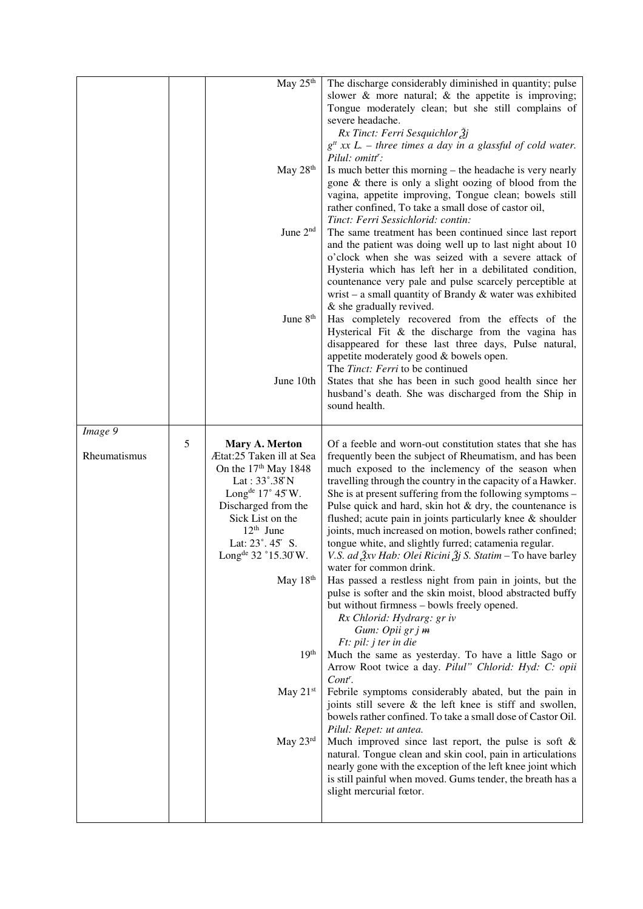|              |   | $\overline{\text{May}}$ 25 <sup>th</sup> | The discharge considerably diminished in quantity; pulse                                                                  |
|--------------|---|------------------------------------------|---------------------------------------------------------------------------------------------------------------------------|
|              |   |                                          | slower $\&$ more natural; $\&$ the appetite is improving;                                                                 |
|              |   |                                          | Tongue moderately clean; but she still complains of                                                                       |
|              |   |                                          | severe headache.                                                                                                          |
|              |   |                                          | Rx Tinct: Ferri Sesquichlor 3j<br>$g^{tt}$ xx L. – three times a day in a glassful of cold water.                         |
|              |   |                                          | Pilul: omitt':                                                                                                            |
|              |   | May 28th                                 | Is much better this morning – the headache is very nearly                                                                 |
|              |   |                                          | gone & there is only a slight oozing of blood from the                                                                    |
|              |   |                                          | vagina, appetite improving, Tongue clean; bowels still                                                                    |
|              |   |                                          | rather confined, To take a small dose of castor oil,                                                                      |
|              |   | June 2 <sup>nd</sup>                     | Tinct: Ferri Sessichlorid: contin:<br>The same treatment has been continued since last report                             |
|              |   |                                          | and the patient was doing well up to last night about 10                                                                  |
|              |   |                                          | o'clock when she was seized with a severe attack of                                                                       |
|              |   |                                          | Hysteria which has left her in a debilitated condition,                                                                   |
|              |   |                                          | countenance very pale and pulse scarcely perceptible at                                                                   |
|              |   |                                          | wrist – a small quantity of Brandy $\&$ water was exhibited                                                               |
|              |   | June 8 <sup>th</sup>                     | & she gradually revived.                                                                                                  |
|              |   |                                          | Has completely recovered from the effects of the<br>Hysterical Fit $\&$ the discharge from the vagina has                 |
|              |   |                                          | disappeared for these last three days, Pulse natural,                                                                     |
|              |   |                                          | appetite moderately good & bowels open.                                                                                   |
|              |   |                                          | The <i>Tinct: Ferri</i> to be continued                                                                                   |
|              |   | June 10th                                | States that she has been in such good health since her                                                                    |
|              |   |                                          | husband's death. She was discharged from the Ship in<br>sound health.                                                     |
|              |   |                                          |                                                                                                                           |
| Image 9      |   |                                          |                                                                                                                           |
|              | 5 | Mary A. Merton                           | Of a feeble and worn-out constitution states that she has                                                                 |
| Rheumatismus |   | Ætat:25 Taken ill at Sea                 | frequently been the subject of Rheumatism, and has been                                                                   |
|              |   |                                          |                                                                                                                           |
|              |   | On the 17 <sup>th</sup> May 1848         | much exposed to the inclemency of the season when                                                                         |
|              |   | Lat: 33°.38'N                            | travelling through the country in the capacity of a Hawker.                                                               |
|              |   | Long <sup>de</sup> $17^{\circ}$ 45'W.    | She is at present suffering from the following symptoms -                                                                 |
|              |   | Discharged from the<br>Sick List on the  | Pulse quick and hard, skin hot $&$ dry, the countenance is<br>flushed; acute pain in joints particularly knee & shoulder  |
|              |   | $12th$ June                              | joints, much increased on motion, bowels rather confined;                                                                 |
|              |   | Lat: 23°. 45′ S.                         | tongue white, and slightly furred; catamenia regular.                                                                     |
|              |   | Long <sup>de</sup> 32 °15.30 W           | V.S. ad $\tilde{A}$ xv Hab: Olei Ricini $\tilde{A}$ j S. Statim – To have barley                                          |
|              |   |                                          | water for common drink.                                                                                                   |
|              |   | May $18th$                               | Has passed a restless night from pain in joints, but the<br>pulse is softer and the skin moist, blood abstracted buffy    |
|              |   |                                          | but without firmness - bowls freely opened.                                                                               |
|              |   |                                          | Rx Chlorid: Hydrarg: gr iv                                                                                                |
|              |   |                                          | Gum: Opii gr j m                                                                                                          |
|              |   |                                          | $Ft$ : pil: j ter in die                                                                                                  |
|              |   | 19 <sup>th</sup>                         | Much the same as yesterday. To have a little Sago or                                                                      |
|              |   |                                          | Arrow Root twice a day. Pilul" Chlorid: Hyd: C: opii<br>$Cont^r$ .                                                        |
|              |   | May 21st                                 | Febrile symptoms considerably abated, but the pain in                                                                     |
|              |   |                                          | joints still severe & the left knee is stiff and swollen,                                                                 |
|              |   |                                          | bowels rather confined. To take a small dose of Castor Oil.                                                               |
|              |   |                                          | Pilul: Repet: ut antea.                                                                                                   |
|              |   | May 23rd                                 | Much improved since last report, the pulse is soft $\&$                                                                   |
|              |   |                                          | natural. Tongue clean and skin cool, pain in articulations<br>nearly gone with the exception of the left knee joint which |
|              |   |                                          | is still painful when moved. Gums tender, the breath has a                                                                |
|              |   |                                          | slight mercurial fœtor.                                                                                                   |
|              |   |                                          |                                                                                                                           |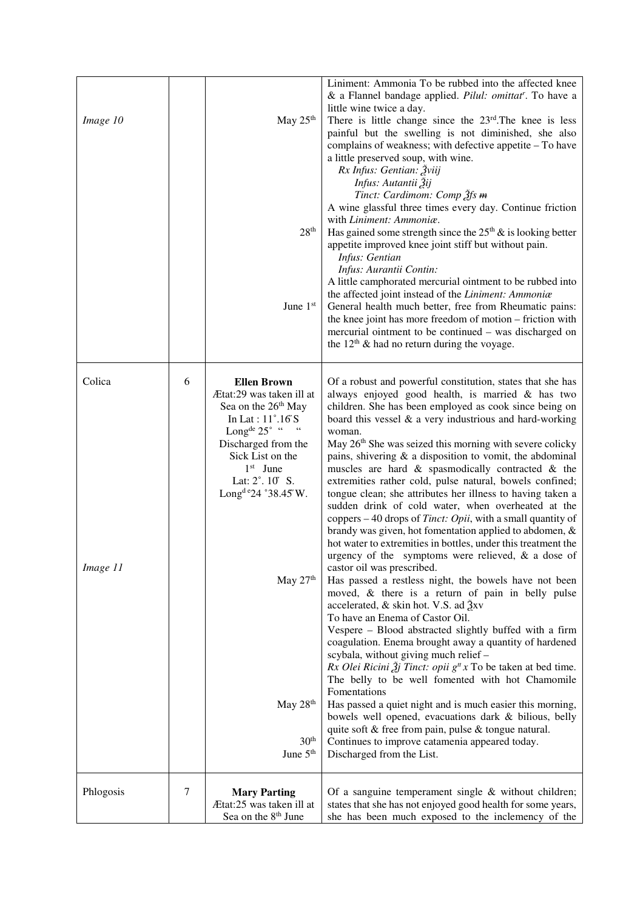| Image 10           |   | May 25 <sup>th</sup><br>$28^{\rm th}$<br>June 1st                                                                                                                                                                                                                  | Liniment: Ammonia To be rubbed into the affected knee<br>& a Flannel bandage applied. Pilul: omittat <sup>r</sup> . To have a<br>little wine twice a day.<br>There is little change since the $23rd$ . The knee is less<br>painful but the swelling is not diminished, she also<br>complains of weakness; with defective appetite – To have<br>a little preserved soup, with wine.<br>Rx Infus: Gentian: Žviij<br>Infus: Autantii Žij<br>Tinct: Cardimom: Comp 2fs m<br>A wine glassful three times every day. Continue friction<br>with Liniment: Ammoniæ.<br>Has gained some strength since the $25th$ & is looking better<br>appetite improved knee joint stiff but without pain.<br>Infus: Gentian<br>Infus: Aurantii Contin:<br>A little camphorated mercurial ointment to be rubbed into<br>the affected joint instead of the Liniment: Ammoniæ<br>General health much better, free from Rheumatic pains:<br>the knee joint has more freedom of motion – friction with<br>mercurial ointment to be continued – was discharged on<br>the $12th$ & had no return during the voyage. |
|--------------------|---|--------------------------------------------------------------------------------------------------------------------------------------------------------------------------------------------------------------------------------------------------------------------|-----------------------------------------------------------------------------------------------------------------------------------------------------------------------------------------------------------------------------------------------------------------------------------------------------------------------------------------------------------------------------------------------------------------------------------------------------------------------------------------------------------------------------------------------------------------------------------------------------------------------------------------------------------------------------------------------------------------------------------------------------------------------------------------------------------------------------------------------------------------------------------------------------------------------------------------------------------------------------------------------------------------------------------------------------------------------------------------|
| Colica<br>Image 11 | 6 | <b>Ellen Brown</b><br>Ætat:29 was taken ill at<br>Sea on the 26 <sup>th</sup> May<br>In Lat: 11°.16'S<br>Long <sup>de</sup> $25^\circ$ "<br>$-66$<br>Discharged from the<br>Sick List on the<br>$1st$ June<br>Lat: 2°. 10' S.<br>Long <sup>d e</sup> 24 °38.45' W. | Of a robust and powerful constitution, states that she has<br>always enjoyed good health, is married & has two<br>children. She has been employed as cook since being on<br>board this vessel $\&$ a very industrious and hard-working<br>woman.<br>May 26 <sup>th</sup> She was seized this morning with severe colicky<br>pains, shivering $\&$ a disposition to vomit, the abdominal<br>muscles are hard $\&$ spasmodically contracted $\&$ the<br>extremities rather cold, pulse natural, bowels confined;<br>tongue clean; she attributes her illness to having taken a<br>sudden drink of cold water, when overheated at the<br>coppers $-40$ drops of <i>Tinct: Opii</i> , with a small quantity of<br>brandy was given, hot fomentation applied to abdomen, &<br>hot water to extremities in bottles, under this treatment the<br>urgency of the symptoms were relieved, $\&$ a dose of<br>castor oil was prescribed.                                                                                                                                                           |
|                    |   | May 27th<br>May 28 <sup>th</sup><br>$30^{\rm th}$<br>June 5 <sup>th</sup>                                                                                                                                                                                          | Has passed a restless night, the bowels have not been<br>moved, & there is a return of pain in belly pulse<br>accelerated, $\&$ skin hot. V.S. ad $\frac{3}{2}$ xv<br>To have an Enema of Castor Oil.<br>Vespere - Blood abstracted slightly buffed with a firm<br>coagulation. Enema brought away a quantity of hardened<br>scybala, without giving much relief -<br><i>Rx Olei Ricini <math>\tilde{A}</math>j Tinct: opii g<sup><i>n</i></sup> x To be taken at bed time.</i><br>The belly to be well fomented with hot Chamomile<br>Fomentations<br>Has passed a quiet night and is much easier this morning,<br>bowels well opened, evacuations dark & bilious, belly<br>quite soft & free from pain, pulse & tongue natural.<br>Continues to improve catamenia appeared today.<br>Discharged from the List.                                                                                                                                                                                                                                                                        |
| Phlogosis          | 7 | <b>Mary Parting</b><br>Ætat:25 was taken ill at<br>Sea on the 8 <sup>th</sup> June                                                                                                                                                                                 | Of a sanguine temperament single $&$ without children;<br>states that she has not enjoyed good health for some years,<br>she has been much exposed to the inclemency of the                                                                                                                                                                                                                                                                                                                                                                                                                                                                                                                                                                                                                                                                                                                                                                                                                                                                                                             |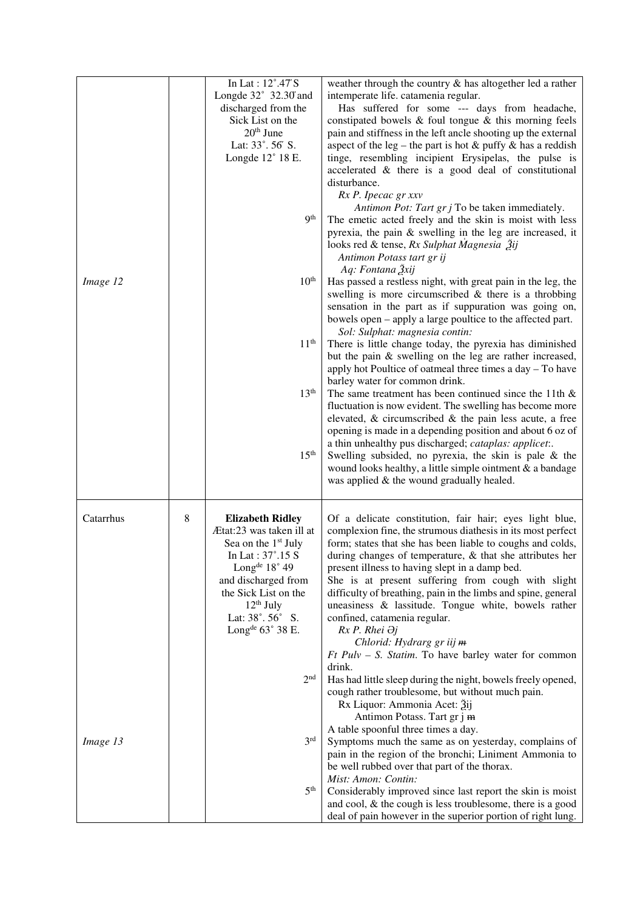|           |   | In Lat: 12°.47'S                | weather through the country & has altogether led a rather       |
|-----------|---|---------------------------------|-----------------------------------------------------------------|
|           |   | Longde $32^\circ$ 32.30 and     | intemperate life. catamenia regular.                            |
|           |   | discharged from the             | Has suffered for some --- days from headache,                   |
|           |   | Sick List on the                | constipated bowels $\&$ foul tongue $\&$ this morning feels     |
|           |   | 20 <sup>th</sup> June           | pain and stiffness in the left ancle shooting up the external   |
|           |   | Lat: 33°.56' S.                 | aspect of the leg – the part is hot $&$ puffy $&$ has a reddish |
|           |   | Longde 12° 18 E.                | tinge, resembling incipient Erysipelas, the pulse is            |
|           |   |                                 | accelerated & there is a good deal of constitutional            |
|           |   |                                 | disturbance.                                                    |
|           |   |                                 | Rx P. Ipecac gr xxv                                             |
|           |   |                                 | Antimon Pot: Tart gr j To be taken immediately.                 |
|           |   | <b>9th</b>                      | The emetic acted freely and the skin is moist with less         |
|           |   |                                 | pyrexia, the pain $&$ swelling in the leg are increased, it     |
|           |   |                                 | looks red & tense, Rx Sulphat Magnesia 2ij                      |
|           |   |                                 | Antimon Potass tart gr ij                                       |
|           |   |                                 | Aq: Fontana 2xij                                                |
| Image 12  |   | 10 <sup>th</sup>                | Has passed a restless night, with great pain in the leg, the    |
|           |   |                                 | swelling is more circumscribed $\&$ there is a throbbing        |
|           |   |                                 | sensation in the part as if suppuration was going on,           |
|           |   |                                 | bowels open – apply a large poultice to the affected part.      |
|           |   |                                 | Sol: Sulphat: magnesia contin:                                  |
|           |   | 11 <sup>th</sup>                | There is little change today, the pyrexia has diminished        |
|           |   |                                 | but the pain & swelling on the leg are rather increased,        |
|           |   |                                 | apply hot Poultice of oatmeal three times a day - To have       |
|           |   |                                 | barley water for common drink.                                  |
|           |   | 13 <sup>th</sup>                | The same treatment has been continued since the 11th $\&$       |
|           |   |                                 | fluctuation is now evident. The swelling has become more        |
|           |   |                                 | elevated, $\&$ circumscribed $\&$ the pain less acute, a free   |
|           |   |                                 | opening is made in a depending position and about 6 oz of       |
|           |   |                                 | a thin unhealthy pus discharged; cataplas: applicet:.           |
|           |   | 15 <sup>th</sup>                | Swelling subsided, no pyrexia, the skin is pale $\&$ the        |
|           |   |                                 | wound looks healthy, a little simple ointment $\&$ a bandage    |
|           |   |                                 | was applied & the wound gradually healed.                       |
|           |   |                                 |                                                                 |
| Catarrhus | 8 | <b>Elizabeth Ridley</b>         | Of a delicate constitution, fair hair; eyes light blue,         |
|           |   | Ætat:23 was taken ill at        | complexion fine, the strumous diathesis in its most perfect     |
|           |   | Sea on the 1 <sup>st</sup> July | form; states that she has been liable to coughs and colds,      |
|           |   | In Lat : $37^\circ.15$ S        | during changes of temperature, & that she attributes her        |
|           |   | Long <sup>de</sup> 18° 49       | present illness to having slept in a damp bed.                  |
|           |   | and discharged from             | She is at present suffering from cough with slight              |
|           |   | the Sick List on the            | difficulty of breathing, pain in the limbs and spine, general   |
|           |   | $12th$ July                     | uneasiness & lassitude. Tongue white, bowels rather             |
|           |   | Lat: 38°.56° S.                 | confined, catamenia regular.                                    |
|           |   | Long <sup>de</sup> 63° 38 E.    | Rx P. Rhei $\partial j$                                         |
|           |   |                                 | Chlorid: Hydrarg gr iij m                                       |
|           |   |                                 | $Ft$ Pulv – S. Statim. To have barley water for common          |
|           |   |                                 | drink.                                                          |
|           |   | 2 <sup>nd</sup>                 | Has had little sleep during the night, bowels freely opened,    |
|           |   |                                 | cough rather troublesome, but without much pain.                |
|           |   |                                 | Rx Liquor: Ammonia Acet: 3ij                                    |
|           |   |                                 | Antimon Potass. Tart gr j m                                     |
|           |   |                                 | A table spoonful three times a day.                             |
| Image 13  |   | 3 <sup>rd</sup>                 | Symptoms much the same as on yesterday, complains of            |
|           |   |                                 | pain in the region of the bronchi; Liniment Ammonia to          |
|           |   |                                 | be well rubbed over that part of the thorax.                    |
|           |   |                                 | Mist: Amon: Contin:                                             |
|           |   | 5 <sup>th</sup>                 | Considerably improved since last report the skin is moist       |
|           |   |                                 | and cool, $\&$ the cough is less troublesome, there is a good   |
|           |   |                                 | deal of pain however in the superior portion of right lung.     |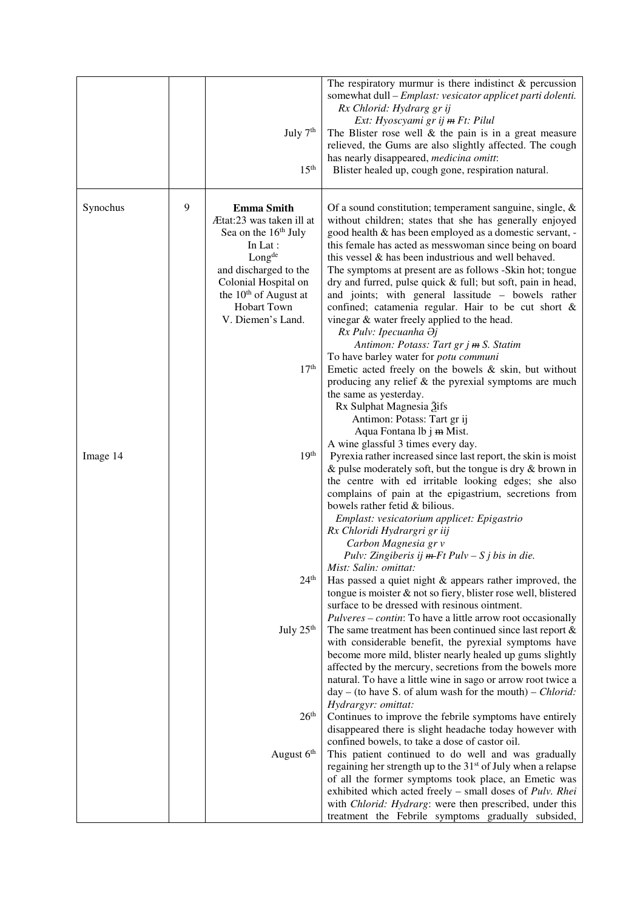|          |   | July 7 <sup>th</sup><br>15 <sup>th</sup>                                                                                                                                                                                                                      | The respiratory murmur is there indistinct $\&$ percussion<br>somewhat dull - Emplast: vesicator applicet parti dolenti.<br>Rx Chlorid: Hydrarg gr ij<br>Ext: Hyoscyami gr ij <del>m</del> Ft: Pilul<br>The Blister rose well $\&$ the pain is in a great measure<br>relieved, the Gums are also slightly affected. The cough<br>has nearly disappeared, medicina omitt:<br>Blister healed up, cough gone, respiration natural.                                                                                                                                                                                                                                                                                                                                                                                                  |
|----------|---|---------------------------------------------------------------------------------------------------------------------------------------------------------------------------------------------------------------------------------------------------------------|----------------------------------------------------------------------------------------------------------------------------------------------------------------------------------------------------------------------------------------------------------------------------------------------------------------------------------------------------------------------------------------------------------------------------------------------------------------------------------------------------------------------------------------------------------------------------------------------------------------------------------------------------------------------------------------------------------------------------------------------------------------------------------------------------------------------------------|
| Synochus | 9 | <b>Emma Smith</b><br>Ætat:23 was taken ill at<br>Sea on the 16 <sup>th</sup> July<br>In Lat:<br>Long <sup>de</sup><br>and discharged to the<br>Colonial Hospital on<br>the $10th$ of August at<br><b>Hobart Town</b><br>V. Diemen's Land.<br>17 <sup>th</sup> | Of a sound constitution; temperament sanguine, single, $\&$<br>without children; states that she has generally enjoyed<br>good health & has been employed as a domestic servant, -<br>this female has acted as messwoman since being on board<br>this vessel & has been industrious and well behaved.<br>The symptoms at present are as follows -Skin hot; tongue<br>dry and furred, pulse quick & full; but soft, pain in head,<br>and joints; with general lassitude - bowels rather<br>confined; catamenia regular. Hair to be cut short &<br>vinegar & water freely applied to the head.<br>Rx Pulv: Ipecuanha Əj<br>Antimon: Potass: Tart gr j m S. Statim<br>To have barley water for potu communi<br>Emetic acted freely on the bowels $\&$ skin, but without<br>producing any relief $\&$ the pyrexial symptoms are much |
| Image 14 |   | 19 <sup>th</sup>                                                                                                                                                                                                                                              | the same as yesterday.<br>Rx Sulphat Magnesia 3ifs<br>Antimon: Potass: Tart gr ij<br>Aqua Fontana lb j m Mist.<br>A wine glassful 3 times every day.<br>Pyrexia rather increased since last report, the skin is moist<br>$\&$ pulse moderately soft, but the tongue is dry $\&$ brown in<br>the centre with ed irritable looking edges; she also<br>complains of pain at the epigastrium, secretions from<br>bowels rather fetid & bilious.<br>Emplast: vesicatorium applicet: Epigastrio<br>Rx Chloridi Hydrargri gr iij<br>Carbon Magnesia gr v                                                                                                                                                                                                                                                                                |
|          |   | 24 <sup>th</sup>                                                                                                                                                                                                                                              | Pulv: Zingiberis ij <del>m F</del> t Pulv – S j bis in die.<br>Mist: Salin: omittat:<br>Has passed a quiet night & appears rather improved, the<br>tongue is moister & not so fiery, blister rose well, blistered<br>surface to be dressed with resinous ointment.<br>Pulveres – contin: To have a little arrow root occasionally                                                                                                                                                                                                                                                                                                                                                                                                                                                                                                |
|          |   | July 25 <sup>th</sup>                                                                                                                                                                                                                                         | The same treatment has been continued since last report $\&$<br>with considerable benefit, the pyrexial symptoms have<br>become more mild, blister nearly healed up gums slightly<br>affected by the mercury, secretions from the bowels more<br>natural. To have a little wine in sago or arrow root twice a<br>$day - (to have S. of a lum wash for the mouth) - Chlorid:$<br>Hydrargyr: omittat:                                                                                                                                                                                                                                                                                                                                                                                                                              |
|          |   | 26 <sup>th</sup><br>August 6 <sup>th</sup>                                                                                                                                                                                                                    | Continues to improve the febrile symptoms have entirely<br>disappeared there is slight headache today however with<br>confined bowels, to take a dose of castor oil.<br>This patient continued to do well and was gradually<br>regaining her strength up to the 31 <sup>st</sup> of July when a relapse<br>of all the former symptoms took place, an Emetic was<br>exhibited which acted freely - small doses of Pulv. Rhei<br>with Chlorid: Hydrarg: were then prescribed, under this<br>treatment the Febrile symptoms gradually subsided,                                                                                                                                                                                                                                                                                     |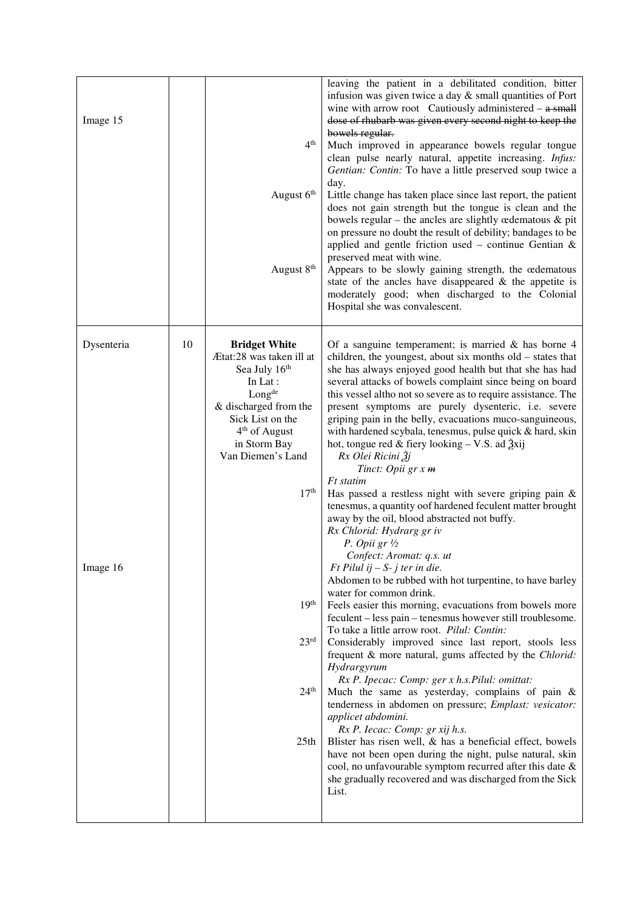| Image 15   |    | 4 <sup>th</sup><br>August 6th<br>August 8th                                                                                                                                                                                            | leaving the patient in a debilitated condition, bitter<br>infusion was given twice a day $&$ small quantities of Port<br>wine with arrow root Cautiously administered $-$ a small<br>dose of rhubarb was given every second night to keep the<br>bowels regular.<br>Much improved in appearance bowels regular tongue<br>clean pulse nearly natural, appetite increasing. Infus:<br>Gentian: Contin: To have a little preserved soup twice a<br>day.<br>Little change has taken place since last report, the patient<br>does not gain strength but the tongue is clean and the<br>bowels regular – the ancles are slightly cedematous $\&$ pit<br>on pressure no doubt the result of debility; bandages to be<br>applied and gentle friction used - continue Gentian $\&$<br>preserved meat with wine.<br>Appears to be slowly gaining strength, the œdematous<br>state of the ancles have disappeared $\&$ the appetite is<br>moderately good; when discharged to the Colonial<br>Hospital she was convalescent. |
|------------|----|----------------------------------------------------------------------------------------------------------------------------------------------------------------------------------------------------------------------------------------|-------------------------------------------------------------------------------------------------------------------------------------------------------------------------------------------------------------------------------------------------------------------------------------------------------------------------------------------------------------------------------------------------------------------------------------------------------------------------------------------------------------------------------------------------------------------------------------------------------------------------------------------------------------------------------------------------------------------------------------------------------------------------------------------------------------------------------------------------------------------------------------------------------------------------------------------------------------------------------------------------------------------|
| Dysenteria | 10 | <b>Bridget White</b><br>Ætat:28 was taken ill at<br>Sea July 16th<br>In Lat :<br>Long <sup>de</sup><br>& discharged from the<br>Sick List on the<br>4 <sup>th</sup> of August<br>in Storm Bay<br>Van Diemen's Land<br>17 <sup>th</sup> | Of a sanguine temperament; is married $\&$ has borne 4<br>children, the youngest, about six months old – states that<br>she has always enjoyed good health but that she has had<br>several attacks of bowels complaint since being on board<br>this vessel altho not so severe as to require assistance. The<br>present symptoms are purely dysenteric, i.e. severe<br>griping pain in the belly, evacuations muco-sanguineous,<br>with hardened scybala, tenesmus, pulse quick & hard, skin<br>hot, tongue red & fiery looking $-$ V.S. ad $\frac{3}{2}$ xij<br>Rx Olei Ricini Žj<br>Tinct: Opii gr x m<br>Ft statim<br>Has passed a restless night with severe griping pain $\&$<br>tenesmus, a quantity oof hardened feculent matter brought<br>away by the oil, blood abstracted not buffy.<br>Rx Chlorid: Hydrarg gr iv<br>P. Opii gr $\frac{1}{2}$                                                                                                                                                          |
| Image 16   |    | 19 <sup>th</sup><br>23 <sup>rd</sup><br>24 <sup>th</sup><br>25 <sub>th</sub>                                                                                                                                                           | Confect: Aromat: <i>a.s.</i> ut<br>$Ft$ Pilul ij $-S$ - j ter in die.<br>Abdomen to be rubbed with hot turpentine, to have barley<br>water for common drink.<br>Feels easier this morning, evacuations from bowels more<br>feculent – less pain – tenesmus however still troublesome.<br>To take a little arrow root. Pilul: Contin:<br>Considerably improved since last report, stools less<br>frequent & more natural, gums affected by the Chlorid:<br>Hydrargyrum<br>Rx P. Ipecac: Comp: ger x h.s. Pilul: omittat:<br>Much the same as yesterday, complains of pain $\&$<br>tenderness in abdomen on pressure; Emplast: vesicator:<br>applicet abdomini.<br>Rx P. Iecac: Comp: gr xij h.s.<br>Blister has risen well, $\&$ has a beneficial effect, bowels<br>have not been open during the night, pulse natural, skin<br>cool, no unfavourable symptom recurred after this date &<br>she gradually recovered and was discharged from the Sick<br>List.                                                      |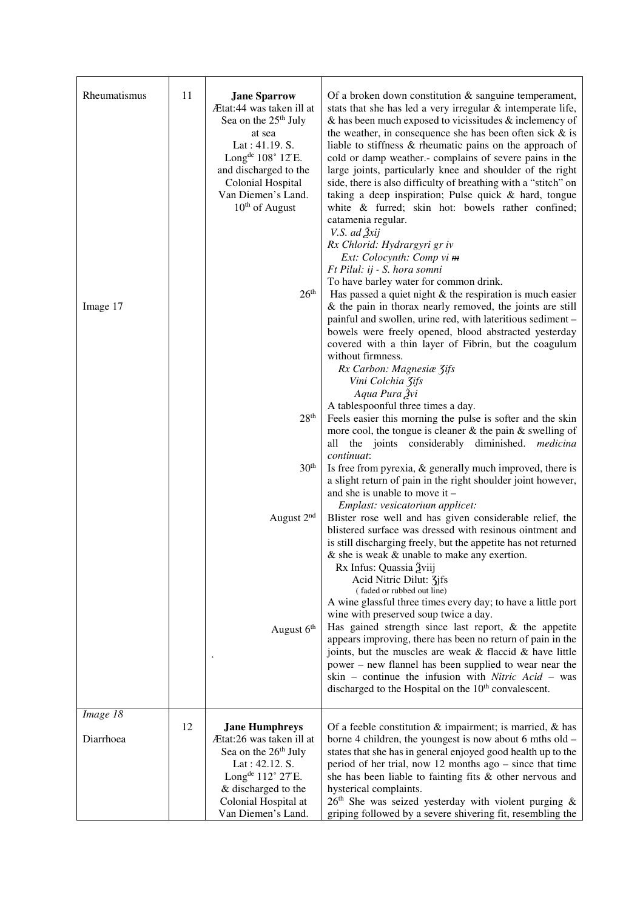| Rheumatismus<br>Image 17 | 11 | <b>Jane Sparrow</b><br>Ætat:44 was taken ill at<br>Sea on the 25 <sup>th</sup> July<br>at sea<br>Lat : $41.19. S.$<br>Long <sup>de</sup> $108^\circ$ 12'E.<br>and discharged to the<br><b>Colonial Hospital</b><br>Van Diemen's Land.<br>$10th$ of August<br>$26^{\rm th}$ | Of a broken down constitution $\&$ sanguine temperament,<br>stats that she has led a very irregular & intemperate life,<br>$\&$ has been much exposed to vicissitudes $\&$ inclemency of<br>the weather, in consequence she has been often sick $\&$ is<br>liable to stiffness & rheumatic pains on the approach of<br>cold or damp weather.- complains of severe pains in the<br>large joints, particularly knee and shoulder of the right<br>side, there is also difficulty of breathing with a "stitch" on<br>taking a deep inspiration; Pulse quick $&$ hard, tongue<br>white & furred; skin hot: bowels rather confined;<br>catamenia regular.<br>V.S. ad Žxij<br>Rx Chlorid: Hydrargyri gr iv<br>Ext: Colocynth: Comp vi m<br>Ft Pilul: ij - S. hora somni<br>To have barley water for common drink.<br>Has passed a quiet night $\&$ the respiration is much easier<br>$\&$ the pain in thorax nearly removed, the joints are still<br>painful and swollen, urine red, with lateritious sediment - |
|--------------------------|----|----------------------------------------------------------------------------------------------------------------------------------------------------------------------------------------------------------------------------------------------------------------------------|-----------------------------------------------------------------------------------------------------------------------------------------------------------------------------------------------------------------------------------------------------------------------------------------------------------------------------------------------------------------------------------------------------------------------------------------------------------------------------------------------------------------------------------------------------------------------------------------------------------------------------------------------------------------------------------------------------------------------------------------------------------------------------------------------------------------------------------------------------------------------------------------------------------------------------------------------------------------------------------------------------------|
|                          |    | 28 <sup>th</sup>                                                                                                                                                                                                                                                           | bowels were freely opened, blood abstracted yesterday<br>covered with a thin layer of Fibrin, but the coagulum<br>without firmness.<br>Rx Carbon: Magnesiæ 3ifs<br>Vini Colchia Zifs<br>Aqua Pura Žvi<br>A tablespoonful three times a day.<br>Feels easier this morning the pulse is softer and the skin<br>more cool, the tongue is cleaner $&$ the pain $&$ swelling of                                                                                                                                                                                                                                                                                                                                                                                                                                                                                                                                                                                                                                |
|                          |    | 30 <sup>th</sup>                                                                                                                                                                                                                                                           | the joints considerably diminished. medicinal<br>all<br>continuat:<br>Is free from pyrexia, $\&$ generally much improved, there is<br>a slight return of pain in the right shoulder joint however,<br>and she is unable to move it $-$                                                                                                                                                                                                                                                                                                                                                                                                                                                                                                                                                                                                                                                                                                                                                                    |
|                          |    | August 2 <sup>nd</sup>                                                                                                                                                                                                                                                     | Emplast: vesicatorium applicet:<br>Blister rose well and has given considerable relief, the<br>blistered surface was dressed with resinous ointment and<br>is still discharging freely, but the appetite has not returned<br>$\&$ she is weak $\&$ unable to make any exertion.<br>Rx Infus: Quassia Žviij                                                                                                                                                                                                                                                                                                                                                                                                                                                                                                                                                                                                                                                                                                |
|                          |    | August 6 <sup>th</sup>                                                                                                                                                                                                                                                     | Acid Nitric Dilut: 3jfs<br>(faded or rubbed out line)<br>A wine glassful three times every day; to have a little port<br>wine with preserved soup twice a day.<br>Has gained strength since last report, $\&$ the appetite<br>appears improving, there has been no return of pain in the<br>joints, but the muscles are weak & flaccid & have little<br>power – new flannel has been supplied to wear near the<br>skin - continue the infusion with Nitric Acid - was<br>discharged to the Hospital on the 10 <sup>th</sup> convalescent.                                                                                                                                                                                                                                                                                                                                                                                                                                                                 |
| Image 18<br>Diarrhoea    | 12 | <b>Jane Humphreys</b><br>Ætat:26 was taken ill at<br>Sea on the 26 <sup>th</sup> July                                                                                                                                                                                      | Of a feeble constitution $\&$ impairment; is married, $\&$ has<br>borne 4 children, the youngest is now about 6 mths old -<br>states that she has in general enjoyed good health up to the                                                                                                                                                                                                                                                                                                                                                                                                                                                                                                                                                                                                                                                                                                                                                                                                                |
|                          |    | Lat: 42.12. S.<br>Long <sup>de</sup> 112° 27'E.<br>& discharged to the<br>Colonial Hospital at<br>Van Diemen's Land.                                                                                                                                                       | period of her trial, now 12 months ago $-$ since that time<br>she has been liable to fainting fits & other nervous and<br>hysterical complaints.<br>$26th$ She was seized yesterday with violent purging &<br>griping followed by a severe shivering fit, resembling the                                                                                                                                                                                                                                                                                                                                                                                                                                                                                                                                                                                                                                                                                                                                  |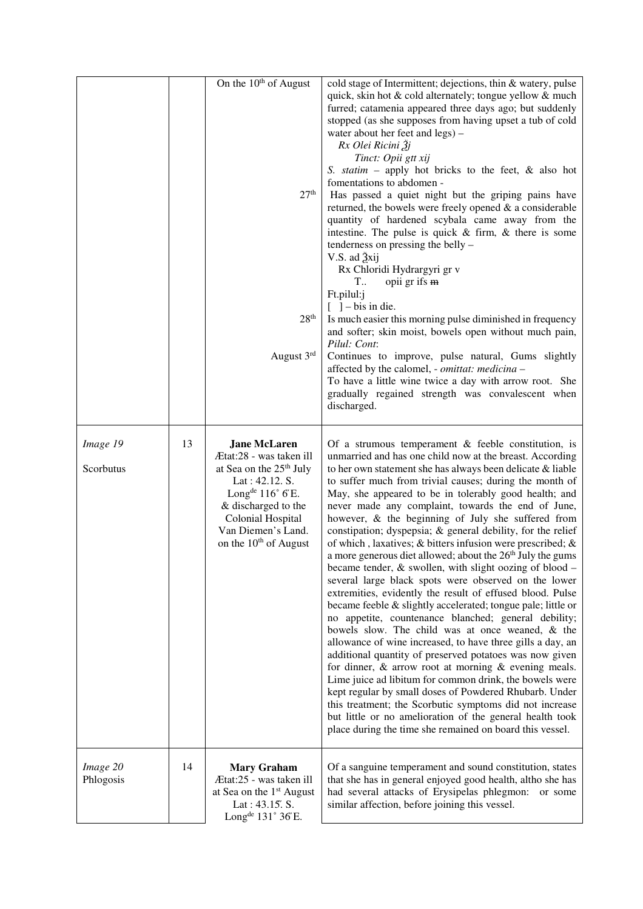|                       |    | On the 10 <sup>th</sup> of August<br>27 <sup>th</sup><br>28 <sup>th</sup><br>August 3rd                                                                                                                                                                           | cold stage of Intermittent; dejections, thin & watery, pulse<br>quick, skin hot & cold alternately; tongue yellow & much<br>furred; catamenia appeared three days ago; but suddenly<br>stopped (as she supposes from having upset a tub of cold<br>water about her feet and legs) -<br>Rx Olei Ricini Žj<br>Tinct: Opii gtt xij<br>S. statim – apply hot bricks to the feet, $\&$ also hot<br>fomentations to abdomen -<br>Has passed a quiet night but the griping pains have<br>returned, the bowels were freely opened $\&$ a considerable<br>quantity of hardened scybala came away from the<br>intestine. The pulse is quick $&$ firm, $&$ there is some<br>tenderness on pressing the belly –<br>V.S. ad 3xij<br>Rx Chloridi Hydrargyri gr v<br>T<br>opii gr ifs m<br>Ft.pilul:j<br>$\begin{bmatrix} \end{bmatrix}$ - bis in die.<br>Is much easier this morning pulse diminished in frequency<br>and softer; skin moist, bowels open without much pain,<br>Pilul: Cont:<br>Continues to improve, pulse natural, Gums slightly<br>affected by the calomel, - omittat: medicina -<br>To have a little wine twice a day with arrow root. She<br>gradually regained strength was convalescent when<br>discharged.                                                                                                                                                                                                                                                              |
|-----------------------|----|-------------------------------------------------------------------------------------------------------------------------------------------------------------------------------------------------------------------------------------------------------------------|-----------------------------------------------------------------------------------------------------------------------------------------------------------------------------------------------------------------------------------------------------------------------------------------------------------------------------------------------------------------------------------------------------------------------------------------------------------------------------------------------------------------------------------------------------------------------------------------------------------------------------------------------------------------------------------------------------------------------------------------------------------------------------------------------------------------------------------------------------------------------------------------------------------------------------------------------------------------------------------------------------------------------------------------------------------------------------------------------------------------------------------------------------------------------------------------------------------------------------------------------------------------------------------------------------------------------------------------------------------------------------------------------------------------------------------------------------------------------------------|
| Image 19<br>Scorbutus | 13 | <b>Jane McLaren</b><br>Ætat:28 - was taken ill<br>at Sea on the 25 <sup>th</sup> July<br>Lat: 42.12. S.<br>Long <sup>de</sup> $116^{\circ}$ $6^{\circ}$ E.<br>& discharged to the<br>Colonial Hospital<br>Van Diemen's Land.<br>on the 10 <sup>th</sup> of August | Of a strumous temperament $\&$ feeble constitution, is<br>unmarried and has one child now at the breast. According<br>to her own statement she has always been delicate & liable<br>to suffer much from trivial causes; during the month of<br>May, she appeared to be in tolerably good health; and<br>never made any complaint, towards the end of June,<br>however, & the beginning of July she suffered from<br>constipation; dyspepsia; & general debility, for the relief<br>of which, laxatives; $\&$ bitters infusion were prescribed; $\&$<br>a more generous diet allowed; about the $26th$ July the gums<br>became tender, $\&$ swollen, with slight oozing of blood -<br>several large black spots were observed on the lower<br>extremities, evidently the result of effused blood. Pulse<br>became feeble & slightly accelerated; tongue pale; little or<br>no appetite, countenance blanched; general debility;<br>bowels slow. The child was at once weaned, & the<br>allowance of wine increased, to have three gills a day, an<br>additional quantity of preserved potatoes was now given<br>for dinner, $\&$ arrow root at morning $\&$ evening meals.<br>Lime juice ad libitum for common drink, the bowels were<br>kept regular by small doses of Powdered Rhubarb. Under<br>this treatment; the Scorbutic symptoms did not increase<br>but little or no amelioration of the general health took<br>place during the time she remained on board this vessel. |
| Image 20<br>Phlogosis | 14 | <b>Mary Graham</b><br>Ætat:25 - was taken ill<br>at Sea on the 1 <sup>st</sup> August<br>Lat: 43.15. S.<br>Long <sup>de</sup> 131° 36'E.                                                                                                                          | Of a sanguine temperament and sound constitution, states<br>that she has in general enjoyed good health, altho she has<br>had several attacks of Erysipelas phlegmon: or some<br>similar affection, before joining this vessel.                                                                                                                                                                                                                                                                                                                                                                                                                                                                                                                                                                                                                                                                                                                                                                                                                                                                                                                                                                                                                                                                                                                                                                                                                                                   |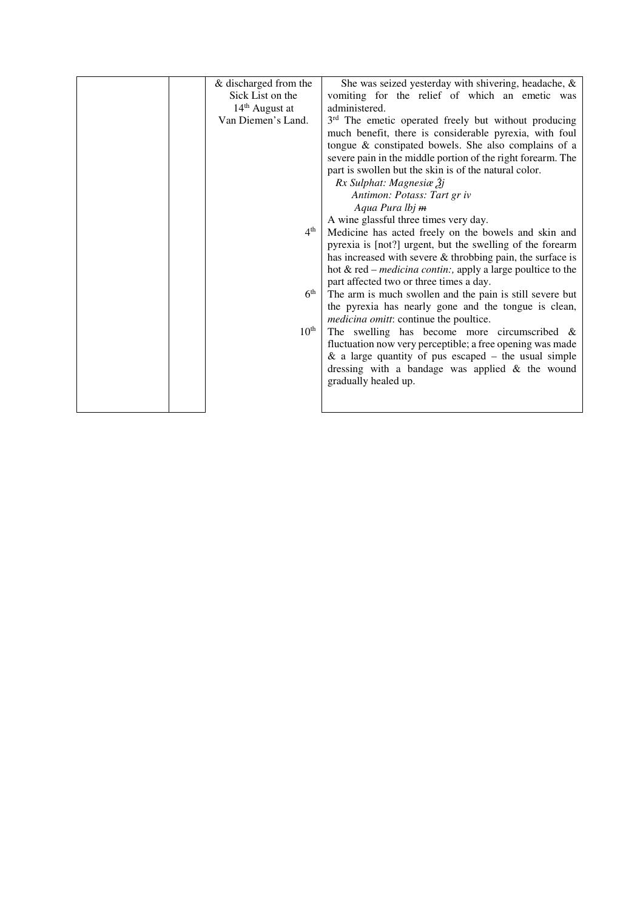|  | & discharged from the | She was seized yesterday with shivering, headache, $\&$               |
|--|-----------------------|-----------------------------------------------------------------------|
|  | Sick List on the      | vomiting for the relief of which an emetic was                        |
|  | $14th$ August at      | administered.                                                         |
|  | Van Diemen's Land.    | 3 <sup>rd</sup> The emetic operated freely but without producing      |
|  |                       | much benefit, there is considerable pyrexia, with foul                |
|  |                       | tongue & constipated bowels. She also complains of a                  |
|  |                       | severe pain in the middle portion of the right forearm. The           |
|  |                       | part is swollen but the skin is of the natural color.                 |
|  |                       | $Rx$ Sulphat: Magnesiæ $\tilde{3}$ j                                  |
|  |                       | Antimon: Potass: Tart gr iv                                           |
|  |                       | Aqua Pura lbj m                                                       |
|  |                       | A wine glassful three times very day.                                 |
|  | 4 <sup>th</sup>       | Medicine has acted freely on the bowels and skin and                  |
|  |                       | pyrexia is [not?] urgent, but the swelling of the forearm             |
|  |                       | has increased with severe $\&$ throbbing pain, the surface is         |
|  |                       | hot $&$ red – <i>medicina contin</i> :, apply a large poultice to the |
|  |                       | part affected two or three times a day.                               |
|  | 6 <sup>th</sup>       | The arm is much swollen and the pain is still severe but              |
|  |                       | the pyrexia has nearly gone and the tongue is clean,                  |
|  |                       | <i>medicina omitt:</i> continue the poultice.                         |
|  | 10 <sup>th</sup>      | The swelling has become more circumscribed $\&$                       |
|  |                       | fluctuation now very perceptible; a free opening was made             |
|  |                       | $\&$ a large quantity of pus escaped – the usual simple               |
|  |                       |                                                                       |
|  |                       | dressing with a bandage was applied $\&$ the wound                    |
|  |                       | gradually healed up.                                                  |
|  |                       |                                                                       |
|  |                       |                                                                       |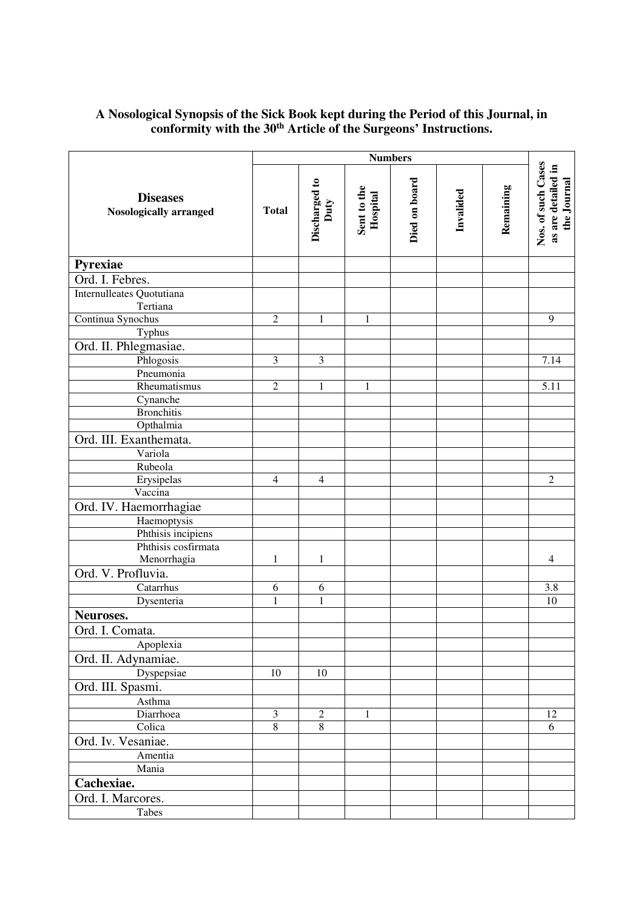## **A Nosological Synopsis of the Sick Book kept during the Period of this Journal, in conformity with the 30th Article of the Surgeons' Instructions.**

|                                                  | <b>Numbers</b> |                       |                         |               |           |           |                                                         |
|--------------------------------------------------|----------------|-----------------------|-------------------------|---------------|-----------|-----------|---------------------------------------------------------|
| <b>Diseases</b><br><b>Nosologically arranged</b> | <b>Total</b>   | Discharged to<br>Duty | Sent to the<br>Hospital | Died on board | Invalided | Remaining | Nos. of such Cases<br>as are detailed in<br>the Journal |
| Pyrexiae                                         |                |                       |                         |               |           |           |                                                         |
| Ord. I. Febres.                                  |                |                       |                         |               |           |           |                                                         |
| Internulleates Quotutiana                        |                |                       |                         |               |           |           |                                                         |
| Tertiana                                         |                |                       |                         |               |           |           |                                                         |
| Continua Synochus                                | $\sqrt{2}$     | $\mathbf{1}$          | $\mathbf{1}$            |               |           |           | 9                                                       |
| Typhus                                           |                |                       |                         |               |           |           |                                                         |
| Ord. II. Phlegmasiae.                            |                |                       |                         |               |           |           |                                                         |
| Phlogosis                                        | $\mathfrak{Z}$ | 3                     |                         |               |           |           | 7.14                                                    |
| Pneumonia                                        |                |                       |                         |               |           |           |                                                         |
| Rheumatismus                                     | $\overline{2}$ | $\mathbf{1}$          | $\mathbf{1}$            |               |           |           | 5.11                                                    |
| Cynanche                                         |                |                       |                         |               |           |           |                                                         |
| <b>Bronchitis</b>                                |                |                       |                         |               |           |           |                                                         |
| Opthalmia                                        |                |                       |                         |               |           |           |                                                         |
| Ord. III. Exanthemata.                           |                |                       |                         |               |           |           |                                                         |
| Variola                                          |                |                       |                         |               |           |           |                                                         |
| Rubeola                                          |                |                       |                         |               |           |           |                                                         |
| Erysipelas                                       | $\overline{4}$ | $\overline{4}$        |                         |               |           |           | $\overline{2}$                                          |
| Vaccina                                          |                |                       |                         |               |           |           |                                                         |
| Ord. IV. Haemorrhagiae                           |                |                       |                         |               |           |           |                                                         |
| Haemoptysis                                      |                |                       |                         |               |           |           |                                                         |
| Phthisis incipiens                               |                |                       |                         |               |           |           |                                                         |
| Phthisis cosfirmata                              |                |                       |                         |               |           |           |                                                         |
| Menorrhagia                                      | 1              | 1                     |                         |               |           |           | $\overline{4}$                                          |
| Ord. V. Profluvia.                               |                |                       |                         |               |           |           |                                                         |
| Catarrhus                                        | 6              | 6                     |                         |               |           |           | 3.8                                                     |
| Dysenteria                                       | 1              | 1                     |                         |               |           |           | 10                                                      |
| Neuroses.                                        |                |                       |                         |               |           |           |                                                         |
| Ord. I. Comata.                                  |                |                       |                         |               |           |           |                                                         |
| Apoplexia                                        |                |                       |                         |               |           |           |                                                         |
| Ord. II. Adynamiae.                              |                |                       |                         |               |           |           |                                                         |
| Dyspepsiae                                       | $10\,$         | 10                    |                         |               |           |           |                                                         |
| Ord. III. Spasmi.                                |                |                       |                         |               |           |           |                                                         |
| Asthma                                           |                |                       |                         |               |           |           |                                                         |
| Diarrhoea                                        | $\mathfrak{Z}$ | $\boldsymbol{2}$      | 1                       |               |           |           | 12                                                      |
| Colica                                           | $\overline{8}$ | $8\,$                 |                         |               |           |           | 6                                                       |
| Ord. Iv. Vesaniae.                               |                |                       |                         |               |           |           |                                                         |
| Amentia                                          |                |                       |                         |               |           |           |                                                         |
| Mania                                            |                |                       |                         |               |           |           |                                                         |
| Cachexiae.                                       |                |                       |                         |               |           |           |                                                         |
| Ord. I. Marcores.                                |                |                       |                         |               |           |           |                                                         |
| Tabes                                            |                |                       |                         |               |           |           |                                                         |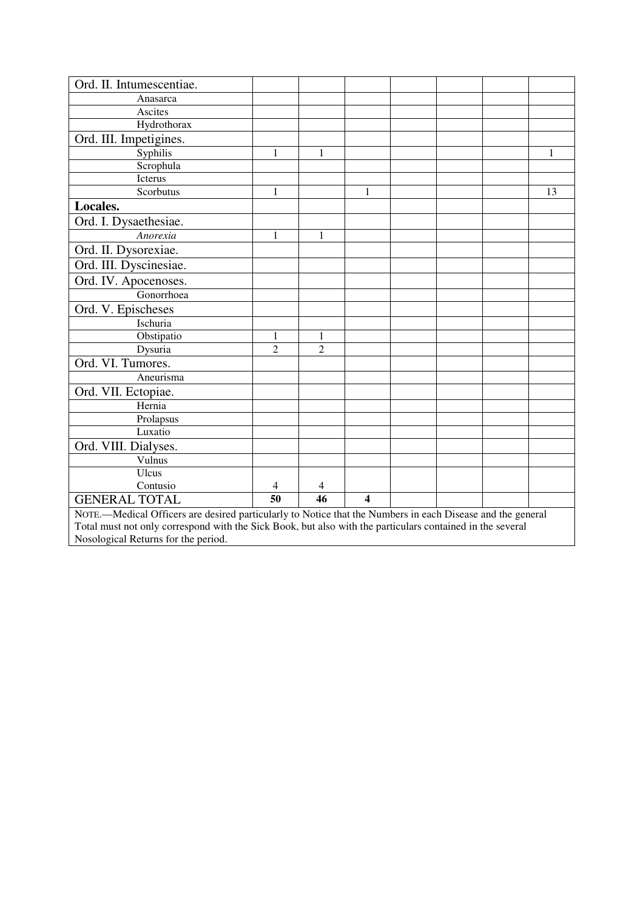| Ord. II. Intumescentiae.                                                                                   |                |                |                         |  |  |  |    |
|------------------------------------------------------------------------------------------------------------|----------------|----------------|-------------------------|--|--|--|----|
| Anasarca                                                                                                   |                |                |                         |  |  |  |    |
| Ascites                                                                                                    |                |                |                         |  |  |  |    |
| Hydrothorax                                                                                                |                |                |                         |  |  |  |    |
| Ord. III. Impetigines.                                                                                     |                |                |                         |  |  |  |    |
| Syphilis                                                                                                   | 1              | 1              |                         |  |  |  | 1  |
| Scrophula                                                                                                  |                |                |                         |  |  |  |    |
| Icterus                                                                                                    |                |                |                         |  |  |  |    |
| Scorbutus                                                                                                  | $\mathbf{1}$   |                | 1                       |  |  |  | 13 |
| Locales.                                                                                                   |                |                |                         |  |  |  |    |
| Ord. I. Dysaethesiae.                                                                                      |                |                |                         |  |  |  |    |
| Anorexia                                                                                                   | $\mathbf{1}$   | $\mathbf{1}$   |                         |  |  |  |    |
| Ord. II. Dysorexiae.                                                                                       |                |                |                         |  |  |  |    |
| Ord. III. Dyscinesiae.                                                                                     |                |                |                         |  |  |  |    |
| Ord. IV. Apocenoses.                                                                                       |                |                |                         |  |  |  |    |
| Gonorrhoea                                                                                                 |                |                |                         |  |  |  |    |
| Ord. V. Epischeses                                                                                         |                |                |                         |  |  |  |    |
| Ischuria                                                                                                   |                |                |                         |  |  |  |    |
| Obstipatio                                                                                                 | 1              | 1              |                         |  |  |  |    |
| Dysuria                                                                                                    | $\overline{2}$ | $\overline{2}$ |                         |  |  |  |    |
| Ord. VI. Tumores.                                                                                          |                |                |                         |  |  |  |    |
| Aneurisma                                                                                                  |                |                |                         |  |  |  |    |
| Ord. VII. Ectopiae.                                                                                        |                |                |                         |  |  |  |    |
| Hernia                                                                                                     |                |                |                         |  |  |  |    |
| Prolapsus                                                                                                  |                |                |                         |  |  |  |    |
| Luxatio                                                                                                    |                |                |                         |  |  |  |    |
| Ord. VIII. Dialyses.                                                                                       |                |                |                         |  |  |  |    |
| Vulnus                                                                                                     |                |                |                         |  |  |  |    |
| Ulcus                                                                                                      |                |                |                         |  |  |  |    |
| Contusio                                                                                                   | 4              | 4              |                         |  |  |  |    |
| <b>GENERAL TOTAL</b>                                                                                       | 50             | 46             | $\overline{\mathbf{4}}$ |  |  |  |    |
| NOTE.—Medical Officers are desired particularly to Notice that the Numbers in each Disease and the general |                |                |                         |  |  |  |    |
| Total must not only correspond with the Sick Book, but also with the particulars contained in the several  |                |                |                         |  |  |  |    |
| Nosological Returns for the period.                                                                        |                |                |                         |  |  |  |    |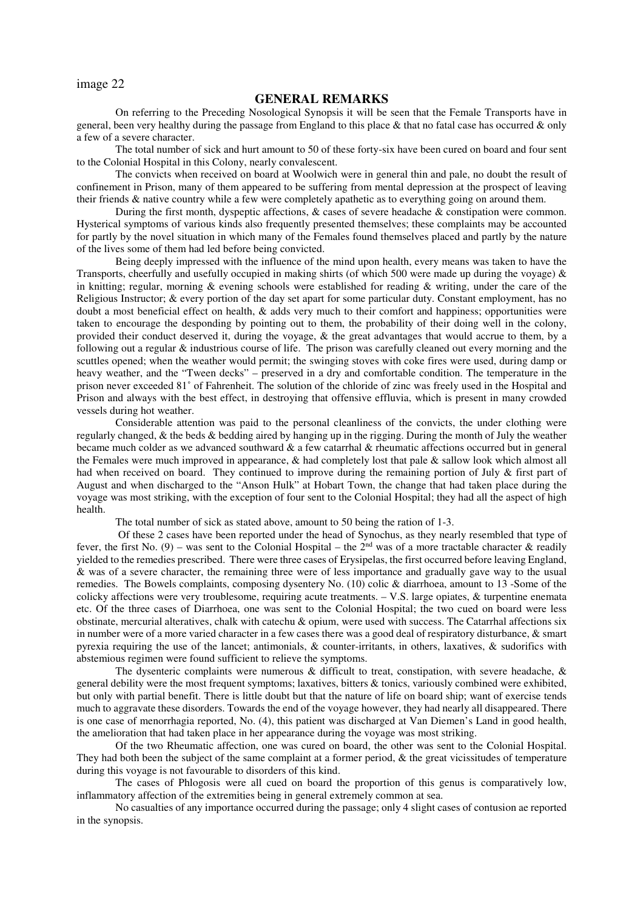image 22

## **GENERAL REMARKS**

On referring to the Preceding Nosological Synopsis it will be seen that the Female Transports have in general, been very healthy during the passage from England to this place & that no fatal case has occurred & only a few of a severe character.

The total number of sick and hurt amount to 50 of these forty-six have been cured on board and four sent to the Colonial Hospital in this Colony, nearly convalescent.

The convicts when received on board at Woolwich were in general thin and pale, no doubt the result of confinement in Prison, many of them appeared to be suffering from mental depression at the prospect of leaving their friends & native country while a few were completely apathetic as to everything going on around them.

During the first month, dyspeptic affections, & cases of severe headache & constipation were common. Hysterical symptoms of various kinds also frequently presented themselves; these complaints may be accounted for partly by the novel situation in which many of the Females found themselves placed and partly by the nature of the lives some of them had led before being convicted.

Being deeply impressed with the influence of the mind upon health, every means was taken to have the Transports, cheerfully and usefully occupied in making shirts (of which 500 were made up during the voyage)  $\&$ in knitting; regular, morning  $\&$  evening schools were established for reading  $\&$  writing, under the care of the Religious Instructor; & every portion of the day set apart for some particular duty. Constant employment, has no doubt a most beneficial effect on health, & adds very much to their comfort and happiness; opportunities were taken to encourage the desponding by pointing out to them, the probability of their doing well in the colony, provided their conduct deserved it, during the voyage, & the great advantages that would accrue to them, by a following out a regular & industrious course of life. The prison was carefully cleaned out every morning and the scuttles opened; when the weather would permit; the swinging stoves with coke fires were used, during damp or heavy weather, and the "Tween decks" – preserved in a dry and comfortable condition. The temperature in the prison never exceeded 81˚ of Fahrenheit. The solution of the chloride of zinc was freely used in the Hospital and Prison and always with the best effect, in destroying that offensive effluvia, which is present in many crowded vessels during hot weather.

Considerable attention was paid to the personal cleanliness of the convicts, the under clothing were regularly changed, & the beds & bedding aired by hanging up in the rigging. During the month of July the weather became much colder as we advanced southward & a few catarrhal & rheumatic affections occurred but in general the Females were much improved in appearance, & had completely lost that pale & sallow look which almost all had when received on board. They continued to improve during the remaining portion of July & first part of August and when discharged to the "Anson Hulk" at Hobart Town, the change that had taken place during the voyage was most striking, with the exception of four sent to the Colonial Hospital; they had all the aspect of high health.

The total number of sick as stated above, amount to 50 being the ration of 1-3.

 Of these 2 cases have been reported under the head of Synochus, as they nearly resembled that type of fever, the first No. (9) – was sent to the Colonial Hospital – the  $2<sup>nd</sup>$  was of a more tractable character & readily yielded to the remedies prescribed. There were three cases of Erysipelas, the first occurred before leaving England, & was of a severe character, the remaining three were of less importance and gradually gave way to the usual remedies. The Bowels complaints, composing dysentery No. (10) colic & diarrhoea, amount to 13 -Some of the colicky affections were very troublesome, requiring acute treatments. – V.S. large opiates, & turpentine enemata etc. Of the three cases of Diarrhoea, one was sent to the Colonial Hospital; the two cued on board were less obstinate, mercurial alteratives, chalk with catechu & opium, were used with success. The Catarrhal affections six in number were of a more varied character in a few cases there was a good deal of respiratory disturbance, & smart pyrexia requiring the use of the lancet; antimonials,  $\&$  counter-irritants, in others, laxatives,  $\&$  sudorifics with abstemious regimen were found sufficient to relieve the symptoms.

The dysenteric complaints were numerous  $\&$  difficult to treat, constipation, with severe headache,  $\&$ general debility were the most frequent symptoms; laxatives, bitters & tonics, variously combined were exhibited, but only with partial benefit. There is little doubt but that the nature of life on board ship; want of exercise tends much to aggravate these disorders. Towards the end of the voyage however, they had nearly all disappeared. There is one case of menorrhagia reported, No. (4), this patient was discharged at Van Diemen's Land in good health, the amelioration that had taken place in her appearance during the voyage was most striking.

Of the two Rheumatic affection, one was cured on board, the other was sent to the Colonial Hospital. They had both been the subject of the same complaint at a former period,  $\&$  the great vicissitudes of temperature during this voyage is not favourable to disorders of this kind.

The cases of Phlogosis were all cued on board the proportion of this genus is comparatively low, inflammatory affection of the extremities being in general extremely common at sea.

No casualties of any importance occurred during the passage; only 4 slight cases of contusion ae reported in the synopsis.